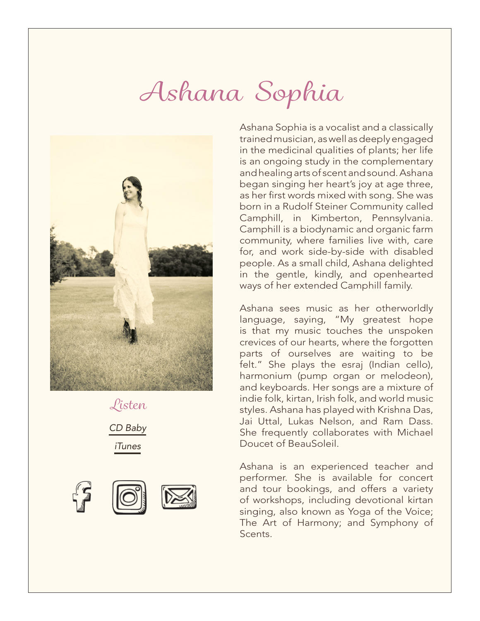## *Ashana Sophia*



*Listen [CD Baby](http://www.cdbaby.com/artist/ashanasophia) [iTunes](https://itunes.apple.com/us/artist/ashana-sophia/id1059440141)*



Ashana Sophia is a vocalist and a classically trained musician, as well as deeply engaged in the medicinal qualities of plants; her life is an ongoing study in the complementary and healing arts of scent and sound. Ashana began singing her heart's joy at age three, as her first words mixed with song. She was born in a Rudolf Steiner Community called Camphill, in Kimberton, Pennsylvania. Camphill is a biodynamic and organic farm community, where families live with, care for, and work side-by-side with disabled people. As a small child, Ashana delighted in the gentle, kindly, and openhearted ways of her extended Camphill family.

Ashana sees music as her otherworldly language, saying, "My greatest hope is that my music touches the unspoken crevices of our hearts, where the forgotten parts of ourselves are waiting to be felt." She plays the esraj (Indian cello), harmonium (pump organ or melodeon), and keyboards. Her songs are a mixture of indie folk, kirtan, Irish folk, and world music styles. Ashana has played with Krishna Das, Jai Uttal, Lukas Nelson, and Ram Dass. She frequently collaborates with Michael Doucet of BeauSoleil.

Ashana is an experienced teacher and performer. She is available for concert and tour bookings, and offers a variety of workshops, including devotional kirtan singing, also known as Yoga of the Voice; The Art of Harmony; and Symphony of Scents.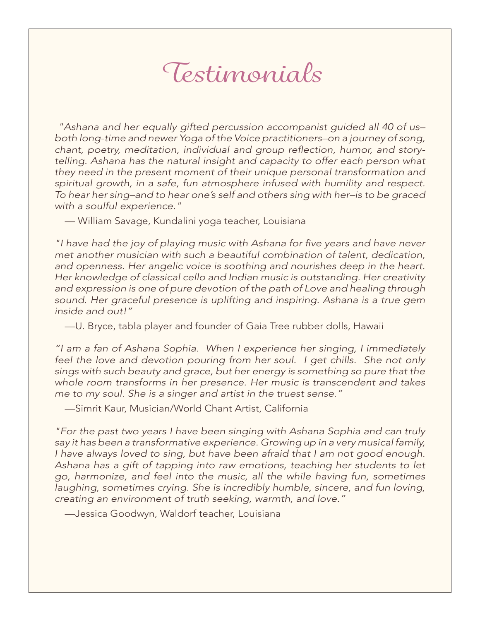### *Testimonials*

*"Ashana and her equally gifted percussion accompanist guided all 40 of us– both long-time and newer Yoga of the Voice practitioners–on a journey of song,*  chant, poetry, meditation, individual and group reflection, humor, and story*telling. Ashana has the natural insight and capacity to offer each person what they need in the present moment of their unique personal transformation and spiritual growth, in a safe, fun atmosphere infused with humility and respect. To hear her sing–and to hear one's self and others sing with her–is to be graced with a soulful experience."*

— William Savage, Kundalini yoga teacher, Louisiana

"I have had the joy of playing music with Ashana for five years and have never *met another musician with such a beautiful combination of talent, dedication, and openness. Her angelic voice is soothing and nourishes deep in the heart. Her knowledge of classical cello and Indian music is outstanding. Her creativity and expression is one of pure devotion of the path of Love and healing through sound. Her graceful presence is uplifting and inspiring. Ashana is a true gem inside and out!"*

—U. Bryce, tabla player and founder of Gaia Tree rubber dolls, Hawaii

*"I am a fan of Ashana Sophia. When I experience her singing, I immediately feel the love and devotion pouring from her soul. I get chills. She not only sings with such beauty and grace, but her energy is something so pure that the whole room transforms in her presence. Her music is transcendent and takes me to my soul. She is a singer and artist in the truest sense."*

—Simrit Kaur, Musician/World Chant Artist, California

*"For the past two years I have been singing with Ashana Sophia and can truly say it has been a transformative experience. Growing up in a very musical family, I have always loved to sing, but have been afraid that I am not good enough. Ashana has a gift of tapping into raw emotions, teaching her students to let go, harmonize, and feel into the music, all the while having fun, sometimes laughing, sometimes crying. She is incredibly humble, sincere, and fun loving, creating an environment of truth seeking, warmth, and love."*

—Jessica Goodwyn, Waldorf teacher, Louisiana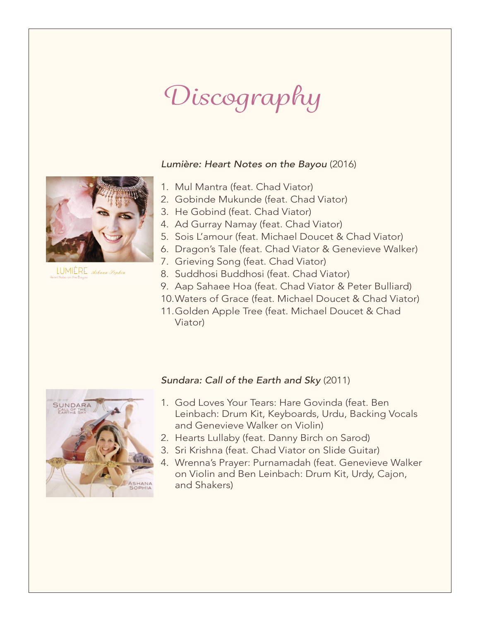# *Discography*

#### *Lumière: Heart Notes on the Bayou* (2016)

- 1. Mul Mantra (feat. Chad Viator)
- 2. Gobinde Mukunde (feat. Chad Viator)
- 3. He Gobind (feat. Chad Viator)
- 4. Ad Gurray Namay (feat. Chad Viator)
- 5. Sois L'amour (feat. Michael Doucet & Chad Viator)
- 6. Dragon's Tale (feat. Chad Viator & Genevieve Walker)
- 7. Grieving Song (feat. Chad Viator)
- 8. Suddhosi Buddhosi (feat. Chad Viator)
- 9. Aap Sahaee Hoa (feat. Chad Viator & Peter Bulliard)
- 10.Waters of Grace (feat. Michael Doucet & Chad Viator)
- 11.Golden Apple Tree (feat. Michael Doucet & Chad Viator)

#### *Sundara: Call of the Earth and Sky* (2011)



- 1. God Loves Your Tears: Hare Govinda (feat. Ben Leinbach: Drum Kit, Keyboards, Urdu, Backing Vocals and Genevieve Walker on Violin)
- 2. Hearts Lullaby (feat. Danny Birch on Sarod)
- 3. Sri Krishna (feat. Chad Viator on Slide Guitar)
- 4. Wrenna's Prayer: Purnamadah (feat. Genevieve Walker on Violin and Ben Leinbach: Drum Kit, Urdy, Cajon, and Shakers)



LUMIÈRE Ashana Sophia